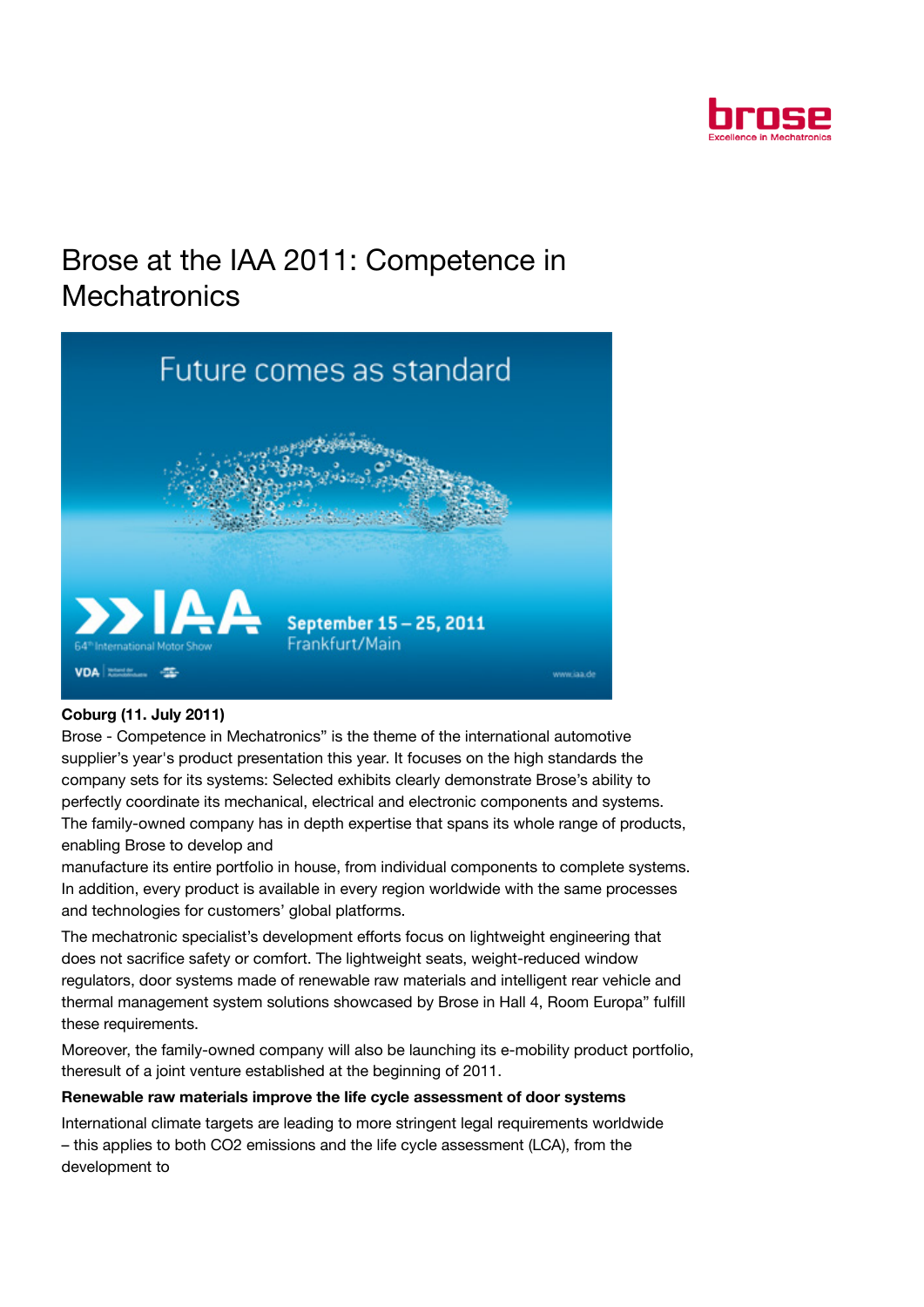

# Brose at the IAA 2011: Competence in **Mechatronics**



# Coburg (11. July 2011)

Brose - Competence in Mechatronics" is the theme of the international automotive supplier's year's product presentation this year. It focuses on the high standards the company sets for its systems: Selected exhibits clearly demonstrate Brose's ability to perfectly coordinate its mechanical, electrical and electronic components and systems. The family-owned company has in depth expertise that spans its whole range of products, enabling Brose to develop and

manufacture its entire portfolio in house, from individual components to complete systems. In addition, every product is available in every region worldwide with the same processes and technologies for customers' global platforms.

The mechatronic specialist's development efforts focus on lightweight engineering that does not sacrifice safety or comfort. The lightweight seats, weight-reduced window regulators, door systems made of renewable raw materials and intelligent rear vehicle and thermal management system solutions showcased by Brose in Hall 4, Room Europa" fulfill these requirements.

Moreover, the family-owned company will also be launching its e-mobility product portfolio, theresult of a joint venture established at the beginning of 2011.

# Renewable raw materials improve the life cycle assessment of door systems

International climate targets are leading to more stringent legal requirements worldwide – this applies to both CO2 emissions and the life cycle assessment (LCA), from the development to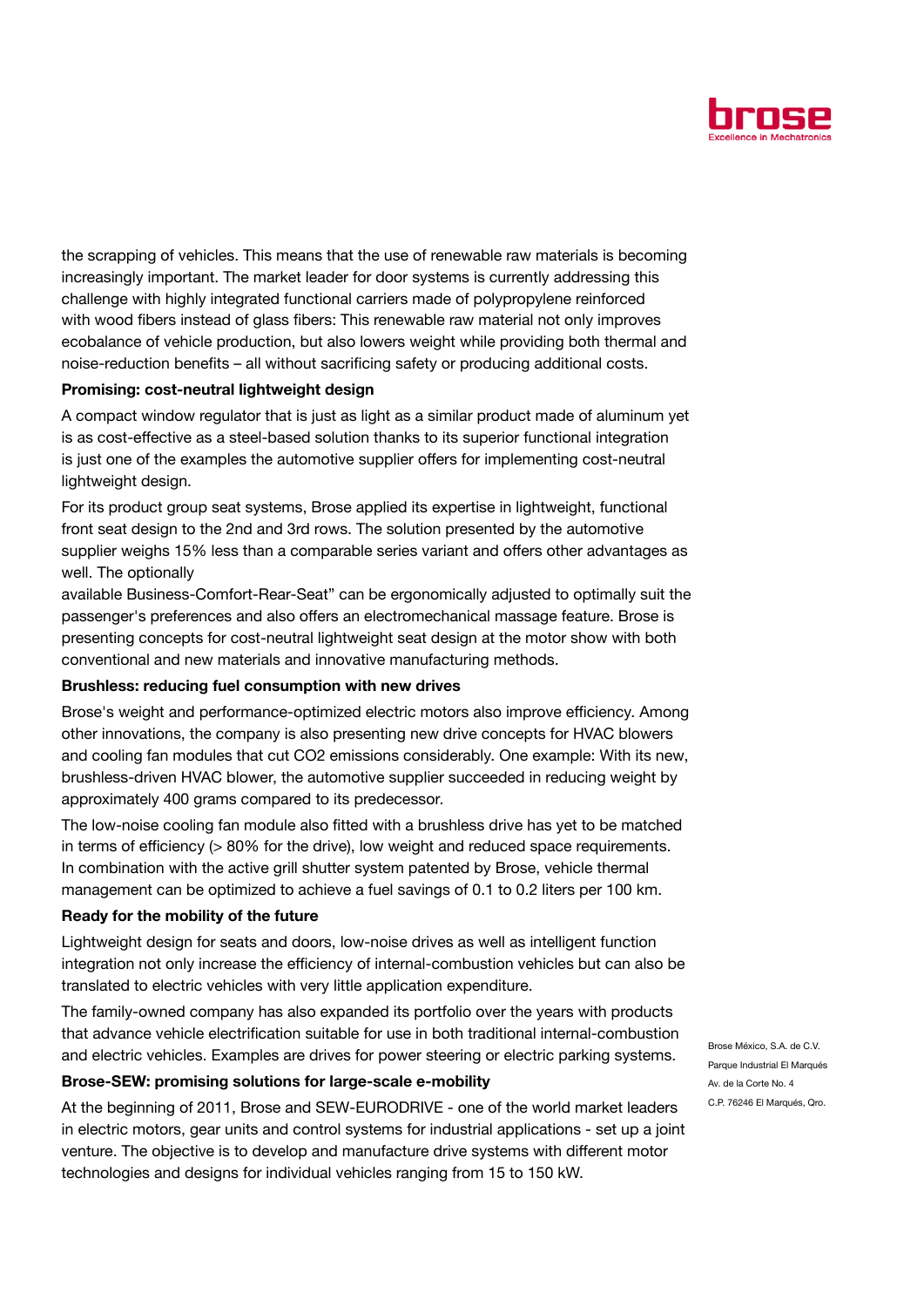

the scrapping of vehicles. This means that the use of renewable raw materials is becoming increasingly important. The market leader for door systems is currently addressing this challenge with highly integrated functional carriers made of polypropylene reinforced with wood fibers instead of glass fibers: This renewable raw material not only improves ecobalance of vehicle production, but also lowers weight while providing both thermal and noise-reduction benefits – all without sacrificing safety or producing additional costs.

## Promising: cost-neutral lightweight design

A compact window regulator that is just as light as a similar product made of aluminum yet is as cost-effective as a steel-based solution thanks to its superior functional integration is just one of the examples the automotive supplier offers for implementing cost-neutral lightweight design.

For its product group seat systems, Brose applied its expertise in lightweight, functional front seat design to the 2nd and 3rd rows. The solution presented by the automotive supplier weighs 15% less than a comparable series variant and offers other advantages as well. The optionally

available Business-Comfort-Rear-Seat" can be ergonomically adjusted to optimally suit the passenger's preferences and also offers an electromechanical massage feature. Brose is presenting concepts for cost-neutral lightweight seat design at the motor show with both conventional and new materials and innovative manufacturing methods.

### Brushless: reducing fuel consumption with new drives

Brose's weight and performance-optimized electric motors also improve efficiency. Among other innovations, the company is also presenting new drive concepts for HVAC blowers and cooling fan modules that cut CO2 emissions considerably. One example: With its new, brushless-driven HVAC blower, the automotive supplier succeeded in reducing weight by approximately 400 grams compared to its predecessor.

The low-noise cooling fan module also fitted with a brushless drive has yet to be matched in terms of efficiency (> 80% for the drive), low weight and reduced space requirements. In combination with the active grill shutter system patented by Brose, vehicle thermal management can be optimized to achieve a fuel savings of 0.1 to 0.2 liters per 100 km.

### Ready for the mobility of the future

Lightweight design for seats and doors, low-noise drives as well as intelligent function integration not only increase the efficiency of internal-combustion vehicles but can also be translated to electric vehicles with very little application expenditure.

The family-owned company has also expanded its portfolio over the years with products that advance vehicle electrification suitable for use in both traditional internal-combustion and electric vehicles. Examples are drives for power steering or electric parking systems.

### Brose-SEW: promising solutions for large-scale e-mobility

At the beginning of 2011, Brose and SEW-EURODRIVE - one of the world market leaders in electric motors, gear units and control systems for industrial applications - set up a joint venture. The objective is to develop and manufacture drive systems with different motor technologies and designs for individual vehicles ranging from 15 to 150 kW.

Brose México, S.A. de C.V. Parque Industrial El Marqués Av. de la Corte No. 4 C.P. 76246 El Marqués, Qro.